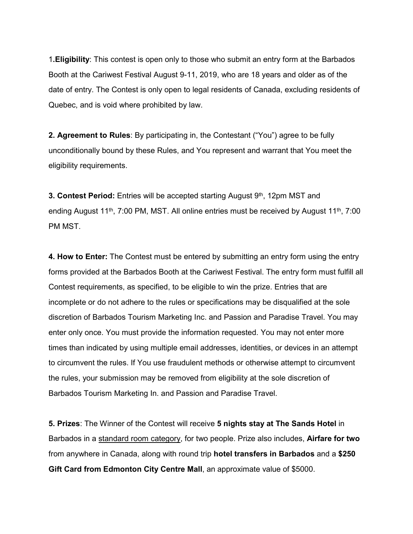1**.Eligibility**: This contest is open only to those who submit an entry form at the Barbados Booth at the Cariwest Festival August 9-11, 2019, who are 18 years and older as of the date of entry. The Contest is only open to legal residents of Canada, excluding residents of Quebec, and is void where prohibited by law.

**2. Agreement to Rules**: By participating in, the Contestant ("You") agree to be fully unconditionally bound by these Rules, and You represent and warrant that You meet the eligibility requirements.

**3. Contest Period:** Entries will be accepted starting August 9<sup>th</sup>, 12pm MST and ending August 11<sup>th</sup>, 7:00 PM, MST. All online entries must be received by August 11<sup>th</sup>, 7:00 PM MST.

**4. How to Enter:** The Contest must be entered by submitting an entry form using the entry forms provided at the Barbados Booth at the Cariwest Festival. The entry form must fulfill all Contest requirements, as specified, to be eligible to win the prize. Entries that are incomplete or do not adhere to the rules or specifications may be disqualified at the sole discretion of Barbados Tourism Marketing Inc. and Passion and Paradise Travel. You may enter only once. You must provide the information requested. You may not enter more times than indicated by using multiple email addresses, identities, or devices in an attempt to circumvent the rules. If You use fraudulent methods or otherwise attempt to circumvent the rules, your submission may be removed from eligibility at the sole discretion of Barbados Tourism Marketing In. and Passion and Paradise Travel.

**5. Prizes**: The Winner of the Contest will receive **5 nights stay at The Sands Hotel** in Barbados in a standard room category, for two people. Prize also includes, **Airfare for two**  from anywhere in Canada, along with round trip **hotel transfers in Barbados** and a **\$250 Gift Card from Edmonton City Centre Mall**, an approximate value of \$5000.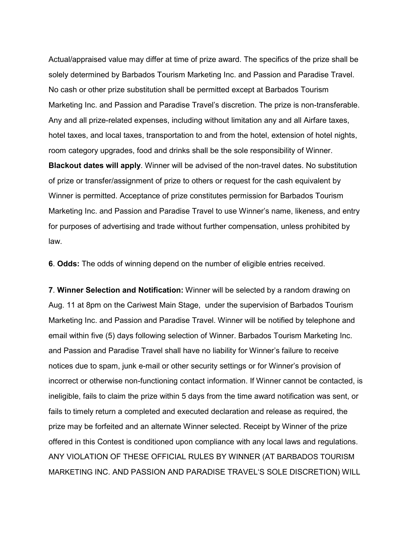Actual/appraised value may differ at time of prize award. The specifics of the prize shall be solely determined by Barbados Tourism Marketing Inc. and Passion and Paradise Travel. No cash or other prize substitution shall be permitted except at Barbados Tourism Marketing Inc. and Passion and Paradise Travel's discretion. The prize is non-transferable. Any and all prize-related expenses, including without limitation any and all Airfare taxes, hotel taxes, and local taxes, transportation to and from the hotel, extension of hotel nights, room category upgrades, food and drinks shall be the sole responsibility of Winner. **Blackout dates will apply**. Winner will be advised of the non-travel dates. No substitution of prize or transfer/assignment of prize to others or request for the cash equivalent by Winner is permitted. Acceptance of prize constitutes permission for Barbados Tourism Marketing Inc. and Passion and Paradise Travel to use Winner's name, likeness, and entry for purposes of advertising and trade without further compensation, unless prohibited by law.

**6**. **Odds:** The odds of winning depend on the number of eligible entries received.

**7**. **Winner Selection and Notification:** Winner will be selected by a random drawing on Aug. 11 at 8pm on the Cariwest Main Stage, under the supervision of Barbados Tourism Marketing Inc. and Passion and Paradise Travel. Winner will be notified by telephone and email within five (5) days following selection of Winner. Barbados Tourism Marketing Inc. and Passion and Paradise Travel shall have no liability for Winner's failure to receive notices due to spam, junk e-mail or other security settings or for Winner's provision of incorrect or otherwise non-functioning contact information. If Winner cannot be contacted, is ineligible, fails to claim the prize within 5 days from the time award notification was sent, or fails to timely return a completed and executed declaration and release as required, the prize may be forfeited and an alternate Winner selected. Receipt by Winner of the prize offered in this Contest is conditioned upon compliance with any local laws and regulations. ANY VIOLATION OF THESE OFFICIAL RULES BY WINNER (AT BARBADOS TOURISM MARKETING INC. AND PASSION AND PARADISE TRAVEL'S SOLE DISCRETION) WILL